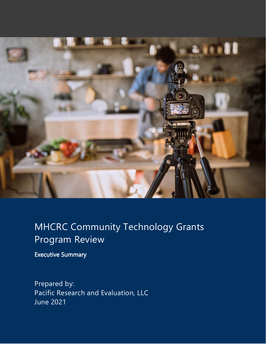

# MHCRC Community Technology Grants Program Review

Executive Summary

Prepared by: Pacific Research and Evaluation, LLC June 2021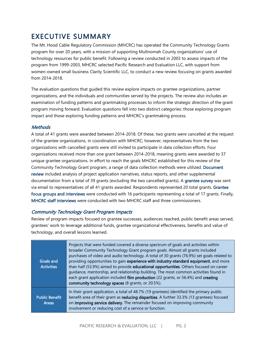## EXECUTIVE SUMMARY

The Mt. Hood Cable Regulatory Commission (MHCRC) has operated the Community Technology Grants program for over 20 years, with a mission of supporting Multnomah County organizations' use of technology resources for public benefit. Following a review conducted in 2003 to assess impacts of the program from 1999-2003, MHCRC selected Pacific Research and Evaluation LLC, with support from women-owned small business Clarity Scientific LLC, to conduct a new review focusing on grants awarded from 2014-2018.

The evaluation questions that guided this review explore impacts on grantee organizations, partner organizations, and the individuals and communities served by the projects. The review also includes an examination of funding patterns and grantmaking processes to inform the strategic direction of the grant program moving forward. Evaluation questions fell into two distinct categories: those exploring program impact and those exploring funding patterns and MHCRC's grantmaking process.

#### **Methods**

A total of 41 grants were awarded between 2014-2018. Of these, two grants were cancelled at the request of the grantee organizations, in coordination with MHCRC; however, representatives from the two organizations with cancelled grants were still invited to participate in data collection efforts. Four organizations received more than one grant between 2014-2018, meaning grants were awarded to 37 unique grantee organizations. In effort to reach the goals MHCRC established for this review of the Community Technology Grant program, a range of data collection methods were utilized. Document review included analysis of project application narratives, status reports, and other supplemental documentation from a total of 39 grants (excluding the two cancelled grants). A grantee survey was sent via email to representatives of all 41 grants awarded. Respondents represented 20 total grants. Grantee focus groups and interviews were conducted with 16 participants representing a total of 17 grants. Finally, MHCRC staff interviews were conducted with two MHCRC staff and three commissioners.

#### Community Technology Grant Program Impacts

Review of program impacts focused on grantee successes, audiences reached, public benefit areas served, grantees' work to leverage additional funds, grantee organizational effectiveness, benefits and value of technology, and overall lessons learned.

| <b>Goals and</b><br><b>Activities</b> | Projects that were funded covered a diverse spectrum of goals and activities within<br>broader Community Technology Grant program goals. Almost all grants included<br>purchases of video and audio technology. A total of 30 grants (76.9%) set goals related to<br>providing opportunities to gain experience with industry-standard equipment, and more<br>than half (53.9%) aimed to provide educational opportunities. Others focused on career<br>quidance, mentorship, and relationship building. The most common activities found in<br>each grant application included film production (22 grants, or 56.4%) and creating<br>community technology spaces (8 grants, or 20.5%). |
|---------------------------------------|-----------------------------------------------------------------------------------------------------------------------------------------------------------------------------------------------------------------------------------------------------------------------------------------------------------------------------------------------------------------------------------------------------------------------------------------------------------------------------------------------------------------------------------------------------------------------------------------------------------------------------------------------------------------------------------------|
| <b>Public Benefit</b><br><b>Areas</b> | In their grant application, a total of 48.7% (19 grantees) identified the primary public<br>benefit area of their grant as reducing disparities. A further 33.3% (13 grantees) focused<br>on improving service delivery. The remainder focused on improving community<br>involvement or reducing cost of a service or function.                                                                                                                                                                                                                                                                                                                                                         |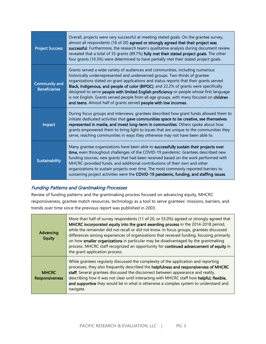| <b>Project Success</b>                       | Overall, projects were very successful at meeting stated goals. On the grantee survey,<br>almost all respondents (18 of 20) agreed or strongly agreed that their project was<br>successful. Furthermore, the research team's qualitative analysis during document review<br>revealed that a total of 35 grants (89.7%) fully met their stated project goals. The other<br>four grants (10.3%) were determined to have partially met their stated project goals.                                                                                                                                            |
|----------------------------------------------|------------------------------------------------------------------------------------------------------------------------------------------------------------------------------------------------------------------------------------------------------------------------------------------------------------------------------------------------------------------------------------------------------------------------------------------------------------------------------------------------------------------------------------------------------------------------------------------------------------|
| <b>Community and</b><br><b>Beneficiaries</b> | Grants served a wide variety of audiences and communities, including numerous<br>historically underrepresented and underserved groups. Two-thirds of grantee<br>organizations stated on grant applications and status reports that their grants served<br>Black, Indigenous, and people of color (BIPOC), and 22.2% of grants were specifically<br>designed to serve people with limited English proficiency or people whose first language<br>is not English. Grants served people from all age groups, with many focused on children<br>and teens. Almost half of grants served people with low incomes. |
| Impact                                       | During focus groups and interviews, grantees described how grant funds allowed them to<br>initiate dedicated activities that gave communities space to be creative, see themselves<br>represented in media, and invest long-term in communities. Others spoke about how<br>grants empowered them to bring light to issues that are unique to the communities they<br>serve, reaching communities in ways they otherwise may not have been able to.                                                                                                                                                         |
| <b>Sustainability</b>                        | Many grantee organizations have been able to successfully sustain their projects over<br>time, even throughout challenges of the COVID-19 pandemic. Grantees described new<br>funding sources, new grants that had been received based on the work performed with<br>MHCRC-provided funds, and additional contributions of their own and other<br>organizations to sustain projects over time. The most commonly reported barriers to<br>sustaining project activities were the COVID-19 pandemic, funding, and staffing issues.                                                                           |

#### Funding Patterns and Grantmaking Processes

Review of funding patterns and the grantmaking process focused on advancing equity, MHCRC responsiveness, grantee match resources, technology as a tool to serve grantees' missions, barriers, and trends over time since the previous report was published in 2003.

| Advancing<br><b>Equity</b>            | More than half of survey respondents (11 of 20, or 55.0%) agreed or strongly agreed that<br>MHCRC incorporated equity into the grant awarding process in the 2014-2018 period,<br>while the remainder did not recall or did not know. In focus groups, grantees discussed<br>differences among experiences of organizations that received funding, focusing primarily<br>on how smaller organizations in particular may be disadvantaged by the grantmaking<br>process. MHCRC staff recognized an opportunity for continued advancement of equity in<br>the grant application process. |
|---------------------------------------|----------------------------------------------------------------------------------------------------------------------------------------------------------------------------------------------------------------------------------------------------------------------------------------------------------------------------------------------------------------------------------------------------------------------------------------------------------------------------------------------------------------------------------------------------------------------------------------|
| <b>MHCRC</b><br><b>Responsiveness</b> | While grantees regularly discussed the complexity of the application and reporting<br>processes, they also frequently described the helpfulness and responsiveness of MHCRC<br>staff. Several grantees discussed the disconnect between appearance and reality,<br>describing how it was not clear until interacting with MHCRC staff how helpful, flexible,<br>and supportive they would be in what is otherwise a complex system to understand and<br>navigate.                                                                                                                      |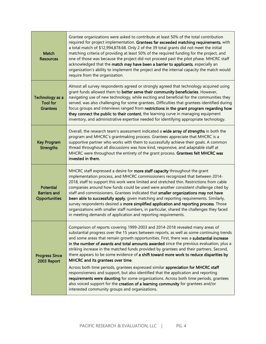| Match<br><b>Resources</b>                                       | Grantee organizations were asked to contribute at least 50% of the total contribution<br>required for project implementation. Grantees far exceeded matching requirements, with<br>a total match of \$12,994,878.68. Only 2 of the 39 total grants did not meet the initial<br>matching criteria of providing at least 50% of the required funding for the project, and<br>one of those was because the project did not proceed past the pilot phase. MHCRC staff<br>acknowledged that the match may have been a barrier to applicants, especially an<br>organization's ability to implement the project and the internal capacity the match would<br>require from the organization.                                                                                                                                                                                                                                                                                                                  |
|-----------------------------------------------------------------|-------------------------------------------------------------------------------------------------------------------------------------------------------------------------------------------------------------------------------------------------------------------------------------------------------------------------------------------------------------------------------------------------------------------------------------------------------------------------------------------------------------------------------------------------------------------------------------------------------------------------------------------------------------------------------------------------------------------------------------------------------------------------------------------------------------------------------------------------------------------------------------------------------------------------------------------------------------------------------------------------------|
| Technology as a<br><b>Tool for</b><br><b>Grantees</b>           | Almost all survey respondents agreed or strongly agreed that technology acquired using<br>grant funds allowed them to better serve their community beneficiaries. However,<br>navigating use of new technology, while exciting and beneficial for the communities they<br>served, was also challenging for some grantees. Difficulties that grantees identified during<br>focus groups and interviews ranged from restrictions in the grant program regarding how<br>they connect the public to their content, the learning curve in managing equipment<br>inventory, and administrative expertise needed for identifying appropriate technology.                                                                                                                                                                                                                                                                                                                                                     |
| <b>Key Program</b><br><b>Strengths</b>                          | Overall, the research team's assessment indicated a wide array of strengths in both the<br>program and MHCRC's grantmaking process. Grantees appreciate that MHCRC is a<br>supportive partner who works with them to successfully achieve their goals. A common<br>thread throughout all discussions was how kind, responsive, and adaptable staff at<br>MHCRC were throughout the entirety of the grant process. Grantees felt MHCRC was<br>invested in them.                                                                                                                                                                                                                                                                                                                                                                                                                                                                                                                                        |
| <b>Potential</b><br><b>Barriers and</b><br><b>Opportunities</b> | MHCRC staff expressed a desire for more staff capacity throughout the grant<br>implementation process, and MHCRC commissioners recognized that between 2014-<br>2018, staff to support this work were limited and stretched thin. Restrictions from cable<br>companies around how funds could be used were another consistent challenge cited by<br>staff and commissioners. Grantees indicated that smaller organizations may not have<br>been able to successfully apply, given matching and reporting requirements. Similarly,<br>survey respondents desired a more simplified application and reporting process. Those<br>organizations with smaller staff numbers, in particular, shared the challenges they faced<br>in meeting demands of application and reporting requirements.                                                                                                                                                                                                              |
| <b>Progress Since</b><br>2003 Report                            | Comparison of reports covering 1999-2003 and 2014-2018 revealed many areas of<br>substantial progress over the 15 years between reports, as well as some continuing trends<br>and some areas that remain growth opportunities. First, there was a substantial increase<br>in the number of awards and total amounts awarded since the previous evaluation, plus a<br>striking increase in the matched funds provided by grantees and their partners. Second,<br>there appears to be some evidence of a shift toward more work to reduce disparities by<br>MHCRC and its grantees over time.<br>Across both time periods, grantees expressed similar appreciation for MHCRC staff<br>responsiveness and support, but also identified that the application and reporting<br>requirements were daunting for some organizations. Across both time periods, grantees<br>also voiced support for the creation of a learning community for grantees and/or<br>interested community groups and organizations. |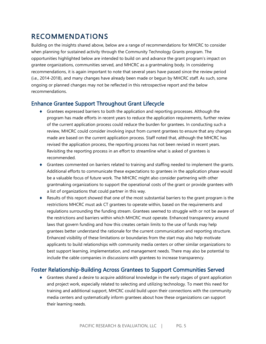## RECOMMENDATIONS

Building on the insights shared above, below are a range of recommendations for MHCRC to consider when planning for sustained activity through the Community Technology Grants program. The opportunities highlighted below are intended to build on and advance the grant program's impact on grantee organizations, communities served, and MHCRC as a grantmaking body. In considering recommendations, it is again important to note that several years have passed since the review period (i.e., 2014-2018), and many changes have already been made or begun by MHCRC staff. As such, some ongoing or planned changes may not be reflected in this retrospective report and the below recommendations.

### Enhance Grantee Support Throughout Grant Lifecycle

- ♦ Grantees expressed barriers to both the application and reporting processes. Although the program has made efforts in recent years to reduce the application requirements, further review of the current application process could reduce the burden for grantees. In conducting such a review, MHCRC could consider involving input from current grantees to ensure that any changes made are based on the current application process. Staff noted that, although the MHCRC has revised the application process, the reporting process has not been revised in recent years. Revisiting the reporting process in an effort to streamline what is asked of grantees is recommended.
- ♦ Grantees commented on barriers related to training and staffing needed to implement the grants. Additional efforts to communicate these expectations to grantees in the application phase would be a valuable focus of future work. The MHCRC might also consider partnering with other grantmaking organizations to support the operational costs of the grant or provide grantees with a list of organizations that could partner in this way.
- ♦ Results of this report showed that one of the most substantial barriers to the grant program is the restrictions MHCRC must ask CT grantees to operate within, based on the requirements and regulations surrounding the funding stream. Grantees seemed to struggle with or not be aware of the restrictions and barriers within which MHCRC must operate. Enhanced transparency around laws that govern funding and how this creates certain limits to the use of funds may help grantees better understand the rationale for the current communication and reporting structure. Enhanced visibility of these limitations or boundaries from the start may also help motivate applicants to build relationships with community media centers or other similar organizations to best support learning, implementation, and management needs. There may also be potential to include the cable companies in discussions with grantees to increase transparency.

#### Foster Relationship-Building Across Grantees to Support Communities Served

♦ Grantees shared a desire to acquire additional knowledge in the early stages of grant application and project work, especially related to selecting and utilizing technology. To meet this need for training and additional support, MHCRC could build upon their connections with the community media centers and systematically inform grantees about how these organizations can support their learning needs.